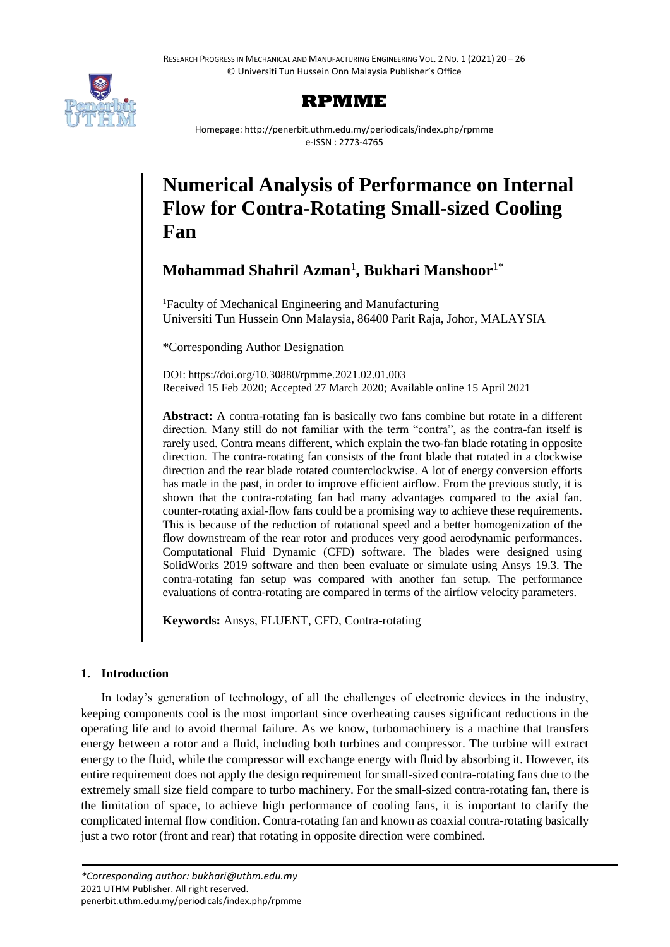

## **RPMME**

Homepage: http://penerbit.uthm.edu.my/periodicals/index.php/rpmme e-ISSN : 2773-4765

# **Numerical Analysis of Performance on Internal Flow for Contra-Rotating Small-sized Cooling Fan**

**Mohammad Shahril Azman**<sup>1</sup> **, Bukhari Manshoor**1\*

<sup>1</sup>Faculty of Mechanical Engineering and Manufacturing Universiti Tun Hussein Onn Malaysia, 86400 Parit Raja, Johor, MALAYSIA

\*Corresponding Author Designation

DOI: https://doi.org/10.30880/rpmme.2021.02.01.003 Received 15 Feb 2020; Accepted 27 March 2020; Available online 15 April 2021

**Abstract:** A contra-rotating fan is basically two fans combine but rotate in a different direction. Many still do not familiar with the term "contra", as the contra-fan itself is rarely used. Contra means different, which explain the two-fan blade rotating in opposite direction. The contra-rotating fan consists of the front blade that rotated in a clockwise direction and the rear blade rotated counterclockwise. A lot of energy conversion efforts has made in the past, in order to improve efficient airflow. From the previous study, it is shown that the contra-rotating fan had many advantages compared to the axial fan. counter-rotating axial-flow fans could be a promising way to achieve these requirements. This is because of the reduction of rotational speed and a better homogenization of the flow downstream of the rear rotor and produces very good aerodynamic performances. Computational Fluid Dynamic (CFD) software. The blades were designed using SolidWorks 2019 software and then been evaluate or simulate using Ansys 19.3. The contra-rotating fan setup was compared with another fan setup. The performance evaluations of contra-rotating are compared in terms of the airflow velocity parameters.

**Keywords:** Ansys, FLUENT, CFD, Contra-rotating

### **1. Introduction**

In today's generation of technology, of all the challenges of electronic devices in the industry, keeping components cool is the most important since overheating causes significant reductions in the operating life and to avoid thermal failure. As we know, turbomachinery is a machine that transfers energy between a rotor and a fluid, including both turbines and compressor. The turbine will extract energy to the fluid, while the compressor will exchange energy with fluid by absorbing it. However, its entire requirement does not apply the design requirement for small-sized contra-rotating fans due to the extremely small size field compare to turbo machinery. For the small-sized contra-rotating fan, there is the limitation of space, to achieve high performance of cooling fans, it is important to clarify the complicated internal flow condition. Contra-rotating fan and known as coaxial contra-rotating basically just a two rotor (front and rear) that rotating in opposite direction were combined.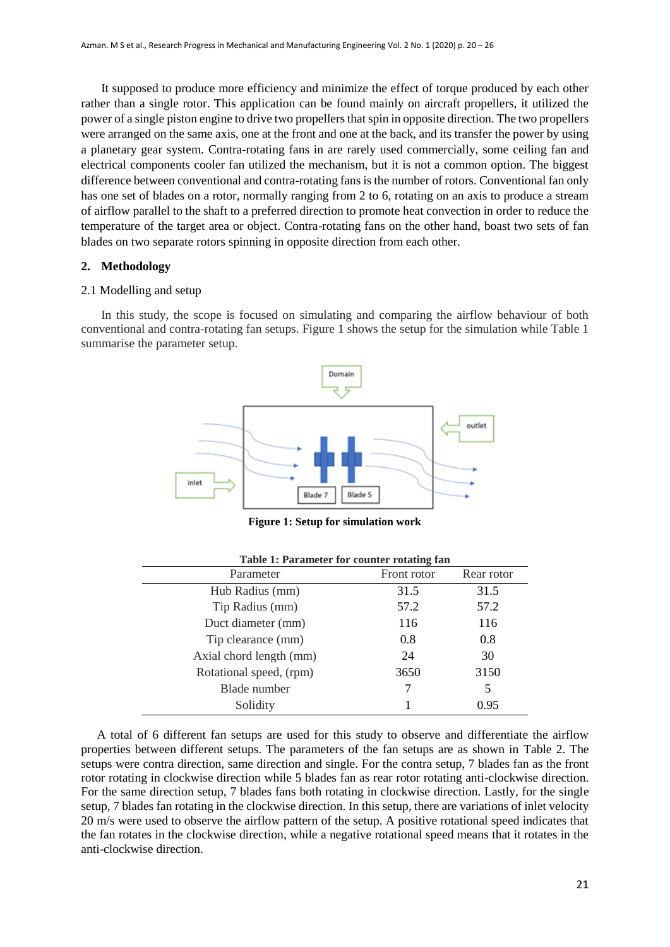It supposed to produce more efficiency and minimize the effect of torque produced by each other rather than a single rotor. This application can be found mainly on aircraft propellers, it utilized the power of a single piston engine to drive two propellers that spin in opposite direction. The two propellers were arranged on the same axis, one at the front and one at the back, and its transfer the power by using a planetary gear system. Contra-rotating fans in are rarely used commercially, some ceiling fan and electrical components cooler fan utilized the mechanism, but it is not a common option. The biggest difference between conventional and contra-rotating fans is the number of rotors. Conventional fan only has one set of blades on a rotor, normally ranging from 2 to 6, rotating on an axis to produce a stream of airflow parallel to the shaft to a preferred direction to promote heat convection in order to reduce the temperature of the target area or object. Contra-rotating fans on the other hand, boast two sets of fan blades on two separate rotors spinning in opposite direction from each other.

#### **2. Methodology**

#### 2.1 Modelling and setup

In this study, the scope is focused on simulating and comparing the airflow behaviour of both conventional and contra-rotating fan setups. Figure 1 shows the setup for the simulation while Table 1 summarise the parameter setup.



**Figure 1: Setup for simulation work**

| Table 1: Parameter for counter rotating fan |             |            |  |  |
|---------------------------------------------|-------------|------------|--|--|
| Parameter                                   | Front rotor | Rear rotor |  |  |
| Hub Radius (mm)                             | 31.5        | 31.5       |  |  |
| Tip Radius (mm)                             | 57.2        | 57.2       |  |  |
| Duct diameter (mm)                          | 116         | 116        |  |  |
| Tip clearance (mm)                          | 0.8         | 0.8        |  |  |
| Axial chord length (mm)                     | 24          | 30         |  |  |
| Rotational speed, (rpm)                     | 3650        | 3150       |  |  |
| Blade number                                |             | 5          |  |  |
| Solidity                                    |             | 0.95       |  |  |
|                                             |             |            |  |  |

A total of 6 different fan setups are used for this study to observe and differentiate the airflow properties between different setups. The parameters of the fan setups are as shown in Table 2. The setups were contra direction, same direction and single. For the contra setup, 7 blades fan as the front rotor rotating in clockwise direction while 5 blades fan as rear rotor rotating anti-clockwise direction. For the same direction setup, 7 blades fans both rotating in clockwise direction. Lastly, for the single setup, 7 blades fan rotating in the clockwise direction. In this setup, there are variations of inlet velocity 20 m/s were used to observe the airflow pattern of the setup. A positive rotational speed indicates that the fan rotates in the clockwise direction, while a negative rotational speed means that it rotates in the anti-clockwise direction.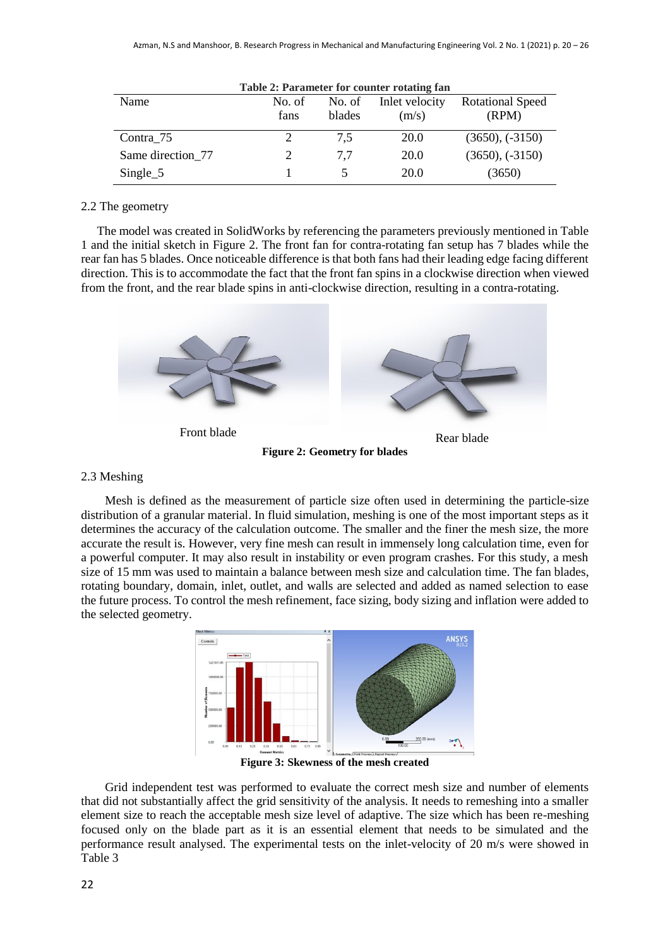| Table 2: Parameter for counter rotating fan |                |                  |                         |                                  |  |  |
|---------------------------------------------|----------------|------------------|-------------------------|----------------------------------|--|--|
| Name                                        | No. of<br>fans | No. of<br>blades | Inlet velocity<br>(m/s) | <b>Rotational Speed</b><br>(RPM) |  |  |
| Contra 75                                   |                | 7,5              | <b>20.0</b>             | $(3650), (-3150)$                |  |  |
| Same direction 77                           |                | 7.7              | <b>20.0</b>             | $(3650), (-3150)$                |  |  |
| $Single_5$                                  |                |                  | 20.0                    | (3650)                           |  |  |

#### 2.2 The geometry

The model was created in SolidWorks by referencing the parameters previously mentioned in Table 1 and the initial sketch in Figure 2. The front fan for contra-rotating fan setup has 7 blades while the rear fan has 5 blades. Once noticeable difference is that both fans had their leading edge facing different direction. This is to accommodate the fact that the front fan spins in a clockwise direction when viewed from the front, and the rear blade spins in anti-clockwise direction, resulting in a contra-rotating.



**Figure 2: Geometry for blades**

#### 2.3 Meshing

Mesh is defined as the measurement of particle size often used in determining the particle-size distribution of a granular material. In fluid simulation, meshing is one of the most important steps as it determines the accuracy of the calculation outcome. The smaller and the finer the mesh size, the more accurate the result is. However, very fine mesh can result in immensely long calculation time, even for a powerful computer. It may also result in instability or even program crashes. For this study, a mesh size of 15 mm was used to maintain a balance between mesh size and calculation time. The fan blades, rotating boundary, domain, inlet, outlet, and walls are selected and added as named selection to ease the future process. To control the mesh refinement, face sizing, body sizing and inflation were added to the selected geometry.



**Figure 3: Skewness of the mesh created**

Grid independent test was performed to evaluate the correct mesh size and number of elements that did not substantially affect the grid sensitivity of the analysis. It needs to remeshing into a smaller element size to reach the acceptable mesh size level of adaptive. The size which has been re-meshing focused only on the blade part as it is an essential element that needs to be simulated and the performance result analysed. The experimental tests on the inlet-velocity of 20 m/s were showed in Table 3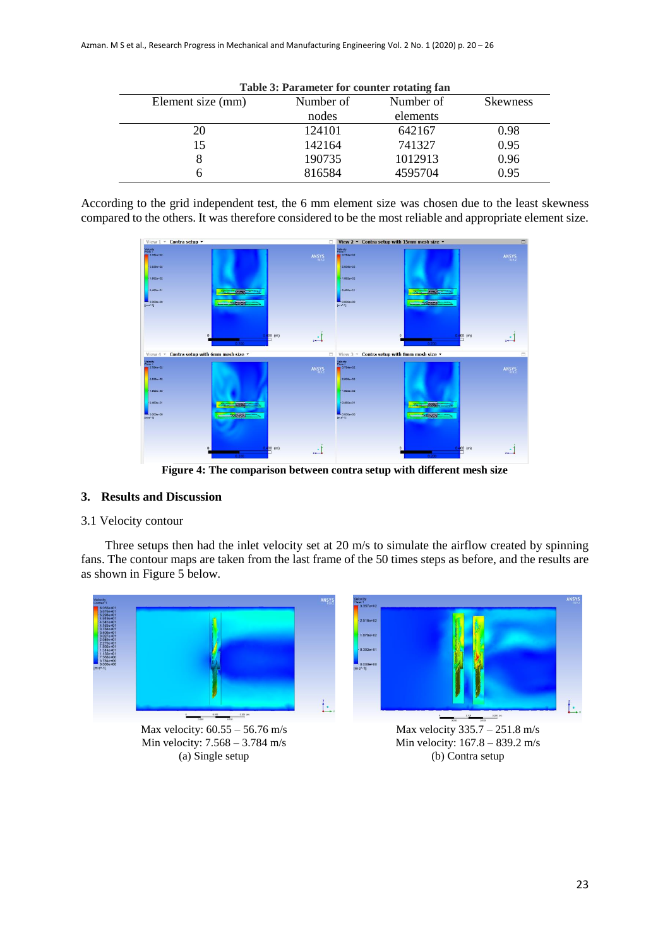| Table 3: Parameter for counter rotating fan |           |           |                 |  |  |  |
|---------------------------------------------|-----------|-----------|-----------------|--|--|--|
| Element size (mm)                           | Number of | Number of | <b>Skewness</b> |  |  |  |
|                                             | nodes     | elements  |                 |  |  |  |
| 20                                          | 124101    | 642167    | 0.98            |  |  |  |
| 15                                          | 142164    | 741327    | 0.95            |  |  |  |
| 8                                           | 190735    | 1012913   | 0.96            |  |  |  |
|                                             | 816584    | 4595704   | 0.95            |  |  |  |

According to the grid independent test, the 6 mm element size was chosen due to the least skewness compared to the others. It was therefore considered to be the most reliable and appropriate element size.



**Figure 4: The comparison between contra setup with different mesh size**

#### **3. Results and Discussion**

#### 3.1 Velocity contour

Three setups then had the inlet velocity set at 20 m/s to simulate the airflow created by spinning fans. The contour maps are taken from the last frame of the 50 times steps as before, and the results are as shown in Figure 5 below.

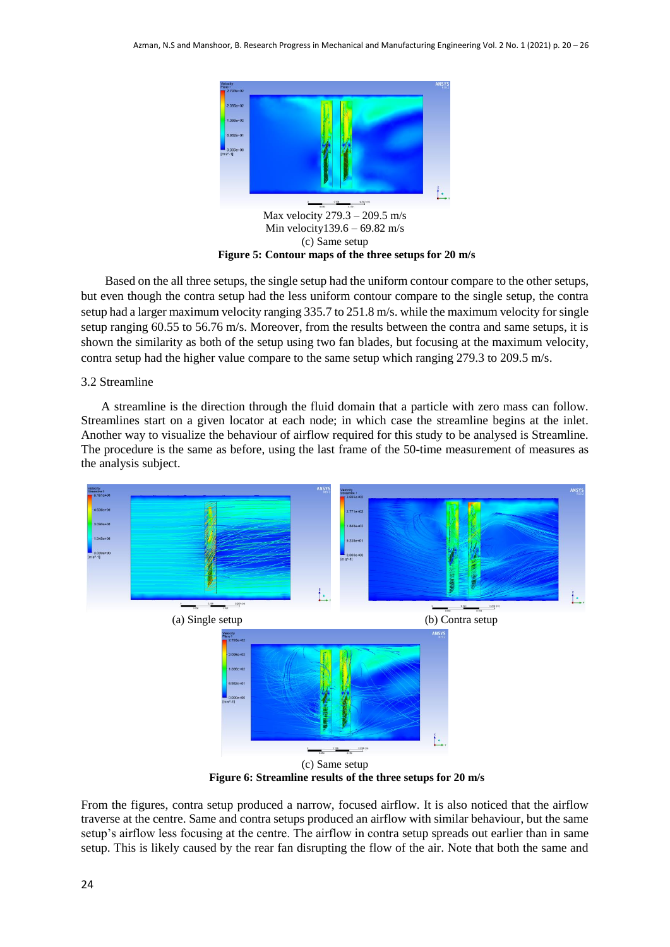

Based on the all three setups, the single setup had the uniform contour compare to the other setups, but even though the contra setup had the less uniform contour compare to the single setup, the contra setup had a larger maximum velocity ranging 335.7 to 251.8 m/s. while the maximum velocity for single setup ranging 60.55 to 56.76 m/s. Moreover, from the results between the contra and same setups, it is shown the similarity as both of the setup using two fan blades, but focusing at the maximum velocity, contra setup had the higher value compare to the same setup which ranging 279.3 to 209.5 m/s.

#### 3.2 Streamline

A streamline is the direction through the fluid domain that a particle with zero mass can follow. Streamlines start on a given locator at each node; in which case the streamline begins at the inlet. Another way to visualize the behaviour of airflow required for this study to be analysed is Streamline. The procedure is the same as before, using the last frame of the 50-time measurement of measures as the analysis subject.



(c) Same setup **Figure 6: Streamline results of the three setups for 20 m/s**

From the figures, contra setup produced a narrow, focused airflow. It is also noticed that the airflow traverse at the centre. Same and contra setups produced an airflow with similar behaviour, but the same setup's airflow less focusing at the centre. The airflow in contra setup spreads out earlier than in same setup. This is likely caused by the rear fan disrupting the flow of the air. Note that both the same and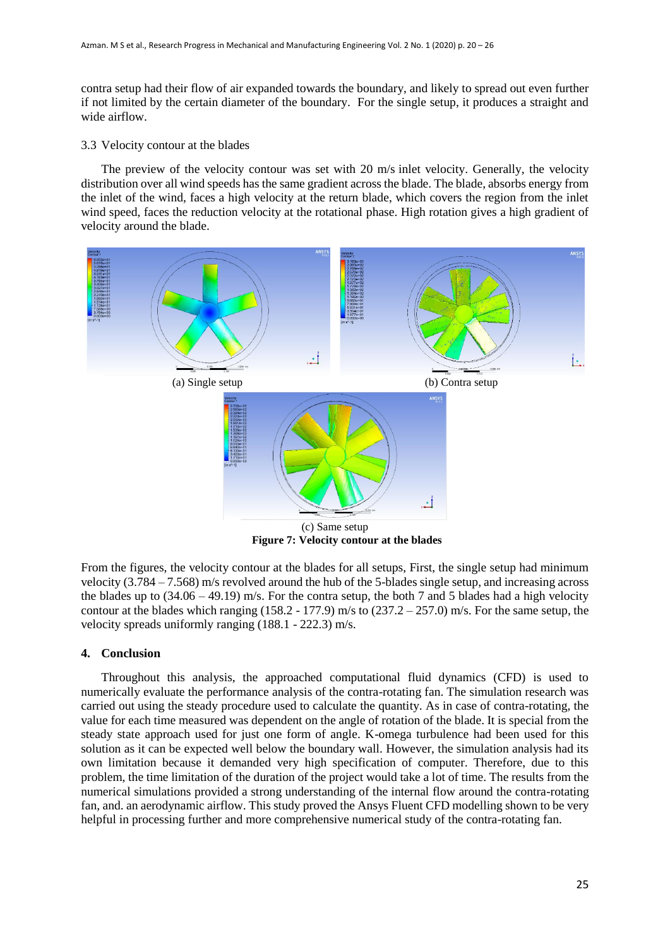contra setup had their flow of air expanded towards the boundary, and likely to spread out even further if not limited by the certain diameter of the boundary. For the single setup, it produces a straight and wide airflow.

#### 3.3 Velocity contour at the blades

The preview of the velocity contour was set with 20 m/s inlet velocity. Generally, the velocity distribution over all wind speeds has the same gradient across the blade. The blade, absorbs energy from the inlet of the wind, faces a high velocity at the return blade, which covers the region from the inlet wind speed, faces the reduction velocity at the rotational phase. High rotation gives a high gradient of velocity around the blade.



**Figure 7: Velocity contour at the blades**

From the figures, the velocity contour at the blades for all setups, First, the single setup had minimum velocity (3.784 – 7.568) m/s revolved around the hub of the 5-blades single setup, and increasing across the blades up to  $(34.06 - 49.19)$  m/s. For the contra setup, the both 7 and 5 blades had a high velocity contour at the blades which ranging  $(158.2 - 177.9)$  m/s to  $(237.2 - 257.0)$  m/s. For the same setup, the velocity spreads uniformly ranging (188.1 - 222.3) m/s.

#### **4. Conclusion**

Throughout this analysis, the approached computational fluid dynamics (CFD) is used to numerically evaluate the performance analysis of the contra-rotating fan. The simulation research was carried out using the steady procedure used to calculate the quantity. As in case of contra-rotating, the value for each time measured was dependent on the angle of rotation of the blade. It is special from the steady state approach used for just one form of angle. K-omega turbulence had been used for this solution as it can be expected well below the boundary wall. However, the simulation analysis had its own limitation because it demanded very high specification of computer. Therefore, due to this problem, the time limitation of the duration of the project would take a lot of time. The results from the numerical simulations provided a strong understanding of the internal flow around the contra-rotating fan, and. an aerodynamic airflow. This study proved the Ansys Fluent CFD modelling shown to be very helpful in processing further and more comprehensive numerical study of the contra-rotating fan.